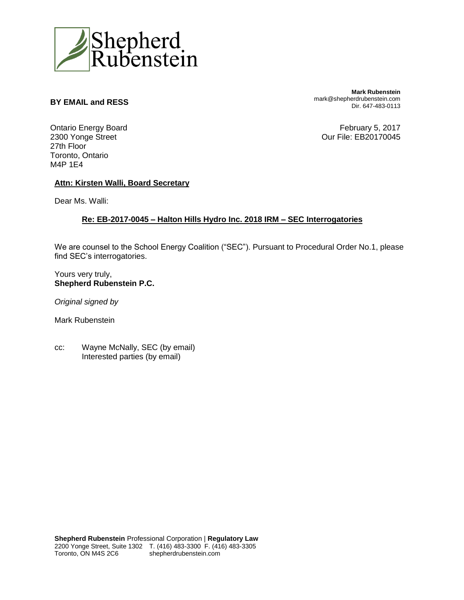

## **BY EMAIL and RESS**

**Mark Rubenstein** mark@shepherdrubenstein.com Dir. 647-483-0113

Ontario Energy Board 2300 Yonge Street 27th Floor Toronto, Ontario M4P 1E4

February 5, 2017 Our File: EB20170045

## **Attn: Kirsten Walli, Board Secretary**

Dear Ms. Walli:

## **Re: EB-2017-0045 – Halton Hills Hydro Inc. 2018 IRM – SEC Interrogatories**

We are counsel to the School Energy Coalition ("SEC"). Pursuant to Procedural Order No.1, please find SEC's interrogatories.

Yours very truly, **Shepherd Rubenstein P.C.** 

*Original signed by* 

Mark Rubenstein

cc: Wayne McNally, SEC (by email) Interested parties (by email)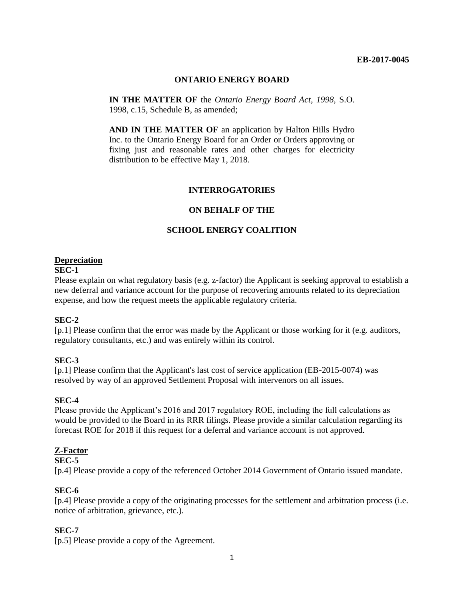#### **EB-2017-0045**

## **ONTARIO ENERGY BOARD**

**IN THE MATTER OF** the *Ontario Energy Board Act*, *1998*, S.O. 1998, c.15, Schedule B, as amended;

**AND IN THE MATTER OF** an application by Halton Hills Hydro Inc. to the Ontario Energy Board for an Order or Orders approving or fixing just and reasonable rates and other charges for electricity distribution to be effective May 1, 2018.

## **INTERROGATORIES**

## **ON BEHALF OF THE**

## **SCHOOL ENERGY COALITION**

#### **Depreciation**

#### **SEC-1**

Please explain on what regulatory basis (e.g. z-factor) the Applicant is seeking approval to establish a new deferral and variance account for the purpose of recovering amounts related to its depreciation expense, and how the request meets the applicable regulatory criteria.

## **SEC-2**

[p.1] Please confirm that the error was made by the Applicant or those working for it (e.g. auditors, regulatory consultants, etc.) and was entirely within its control.

## **SEC-3**

[p.1] Please confirm that the Applicant's last cost of service application (EB-2015-0074) was resolved by way of an approved Settlement Proposal with intervenors on all issues.

## **SEC-4**

Please provide the Applicant's 2016 and 2017 regulatory ROE, including the full calculations as would be provided to the Board in its RRR filings. Please provide a similar calculation regarding its forecast ROE for 2018 if this request for a deferral and variance account is not approved.

#### **Z-Factor**

#### **SEC-5**

[p.4] Please provide a copy of the referenced October 2014 Government of Ontario issued mandate.

## **SEC-6**

[p.4] Please provide a copy of the originating processes for the settlement and arbitration process (i.e. notice of arbitration, grievance, etc.).

#### **SEC-7**

[p.5] Please provide a copy of the Agreement.